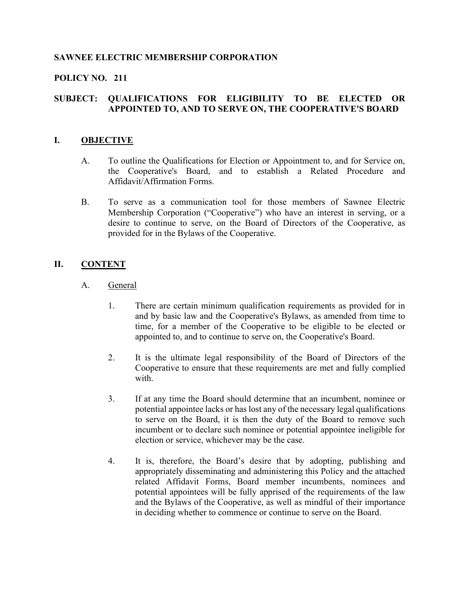# SAWNEE ELECTRIC MEMBERSHIP CORPORATION

# POLICY NO. 211

# SUBJECT: QUALIFICATIONS FOR ELIGIBILITY TO BE ELECTED OR APPOINTED TO, AND TO SERVE ON, THE COOPERATIVE'S BOARD

### I. OBJECTIVE

- A. To outline the Qualifications for Election or Appointment to, and for Service on, the Cooperative's Board, and to establish a Related Procedure and Affidavit/Affirmation Forms.
- B. To serve as a communication tool for those members of Sawnee Electric Membership Corporation ("Cooperative") who have an interest in serving, or a desire to continue to serve, on the Board of Directors of the Cooperative, as provided for in the Bylaws of the Cooperative.

### II. CONTENT

- A. General
	- 1. There are certain minimum qualification requirements as provided for in and by basic law and the Cooperative's Bylaws, as amended from time to time, for a member of the Cooperative to be eligible to be elected or appointed to, and to continue to serve on, the Cooperative's Board.
	- 2. It is the ultimate legal responsibility of the Board of Directors of the Cooperative to ensure that these requirements are met and fully complied with.
	- 3. If at any time the Board should determine that an incumbent, nominee or potential appointee lacks or has lost any of the necessary legal qualifications to serve on the Board, it is then the duty of the Board to remove such incumbent or to declare such nominee or potential appointee ineligible for election or service, whichever may be the case.
	- 4. It is, therefore, the Board's desire that by adopting, publishing and appropriately disseminating and administering this Policy and the attached related Affidavit Forms, Board member incumbents, nominees and potential appointees will be fully apprised of the requirements of the law and the Bylaws of the Cooperative, as well as mindful of their importance in deciding whether to commence or continue to serve on the Board.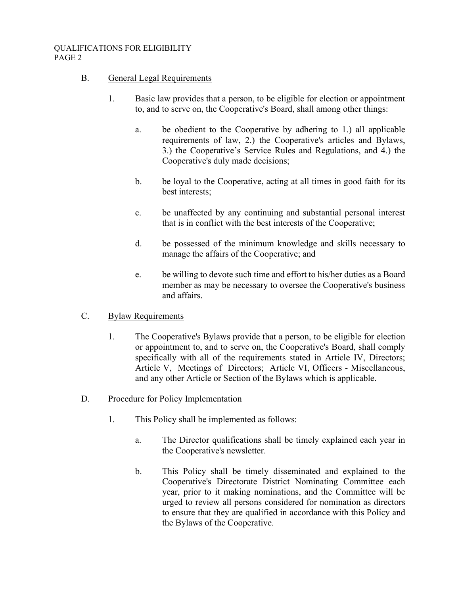### B. General Legal Requirements

- 1. Basic law provides that a person, to be eligible for election or appointment to, and to serve on, the Cooperative's Board, shall among other things:
	- a. be obedient to the Cooperative by adhering to 1.) all applicable requirements of law, 2.) the Cooperative's articles and Bylaws, 3.) the Cooperative's Service Rules and Regulations, and 4.) the Cooperative's duly made decisions;
	- b. be loyal to the Cooperative, acting at all times in good faith for its best interests;
	- c. be unaffected by any continuing and substantial personal interest that is in conflict with the best interests of the Cooperative;
	- d. be possessed of the minimum knowledge and skills necessary to manage the affairs of the Cooperative; and
	- e. be willing to devote such time and effort to his/her duties as a Board member as may be necessary to oversee the Cooperative's business and affairs.
- C. Bylaw Requirements
	- 1. The Cooperative's Bylaws provide that a person, to be eligible for election or appointment to, and to serve on, the Cooperative's Board, shall comply specifically with all of the requirements stated in Article IV, Directors; Article V, Meetings of Directors; Article VI, Officers - Miscellaneous, and any other Article or Section of the Bylaws which is applicable.
- D. Procedure for Policy Implementation
	- 1. This Policy shall be implemented as follows:
		- a. The Director qualifications shall be timely explained each year in the Cooperative's newsletter.
		- b. This Policy shall be timely disseminated and explained to the Cooperative's Directorate District Nominating Committee each year, prior to it making nominations, and the Committee will be urged to review all persons considered for nomination as directors to ensure that they are qualified in accordance with this Policy and the Bylaws of the Cooperative.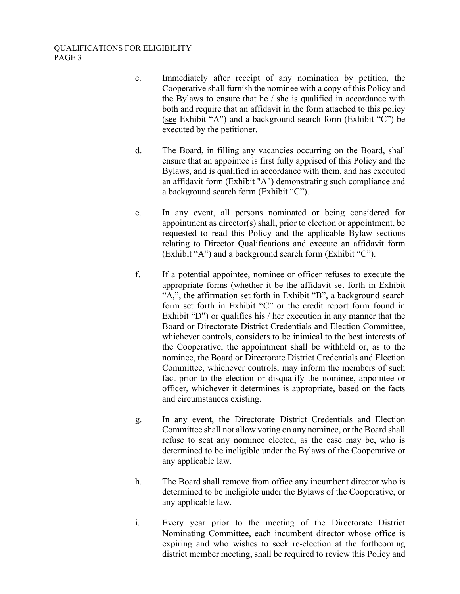- c. Immediately after receipt of any nomination by petition, the Cooperative shall furnish the nominee with a copy of this Policy and the Bylaws to ensure that he / she is qualified in accordance with both and require that an affidavit in the form attached to this policy (see Exhibit "A") and a background search form (Exhibit "C") be executed by the petitioner.
- d. The Board, in filling any vacancies occurring on the Board, shall ensure that an appointee is first fully apprised of this Policy and the Bylaws, and is qualified in accordance with them, and has executed an affidavit form (Exhibit "A") demonstrating such compliance and a background search form (Exhibit "C").
- e. In any event, all persons nominated or being considered for appointment as director(s) shall, prior to election or appointment, be requested to read this Policy and the applicable Bylaw sections relating to Director Qualifications and execute an affidavit form (Exhibit "A") and a background search form (Exhibit "C").
- f. If a potential appointee, nominee or officer refuses to execute the appropriate forms (whether it be the affidavit set forth in Exhibit "A,", the affirmation set forth in Exhibit "B", a background search form set forth in Exhibit "C" or the credit report form found in Exhibit "D") or qualifies his / her execution in any manner that the Board or Directorate District Credentials and Election Committee, whichever controls, considers to be inimical to the best interests of the Cooperative, the appointment shall be withheld or, as to the nominee, the Board or Directorate District Credentials and Election Committee, whichever controls, may inform the members of such fact prior to the election or disqualify the nominee, appointee or officer, whichever it determines is appropriate, based on the facts and circumstances existing.
- g. In any event, the Directorate District Credentials and Election Committee shall not allow voting on any nominee, or the Board shall refuse to seat any nominee elected, as the case may be, who is determined to be ineligible under the Bylaws of the Cooperative or any applicable law.
- h. The Board shall remove from office any incumbent director who is determined to be ineligible under the Bylaws of the Cooperative, or any applicable law.
- i. Every year prior to the meeting of the Directorate District Nominating Committee, each incumbent director whose office is expiring and who wishes to seek re-election at the forthcoming district member meeting, shall be required to review this Policy and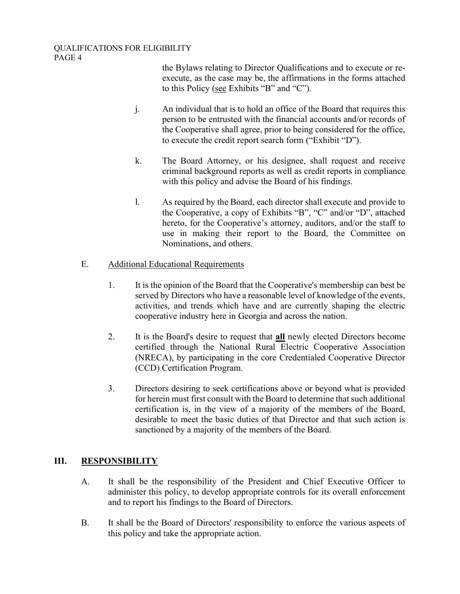the Bylaws relating to Director Qualifications and to execute or reexecute, as the case may be, the affirmations in the forms attached to this Policy (see Exhibits "B" and "C").

- j. An individual that is to hold an office of the Board that requires this person to be entrusted with the financial accounts and/or records of the Cooperative shall agree, prior to being considered for the office, to execute the credit report search form ("Exhibit "D").
- k. The Board Attorney, or his designee, shall request and receive criminal background reports as well as credit reports in compliance with this policy and advise the Board of his findings.
- l. As required by the Board, each director shall execute and provide to the Cooperative, a copy of Exhibits "B", "C" and/or "D", attached hereto, for the Cooperative's attorney, auditors, and/or the staff to use in making their report to the Board, the Committee on Nominations, and others.

# E. Additional Educational Requirements

- 1. It is the opinion of the Board that the Cooperative's membership can best be served by Directors who have a reasonable level of knowledge of the events, activities, and trends which have and are currently shaping the electric cooperative industry here in Georgia and across the nation.
- 2. It is the Board's desire to request that **all** newly elected Directors become certified through the National Rural Electric Cooperative Association (NRECA), by participating in the core Credentialed Cooperative Director (CCD) Certification Program.
- 3. Directors desiring to seek certifications above or beyond what is provided for herein must first consult with the Board to determine that such additional certification is, in the view of a majority of the members of the Board, desirable to meet the basic duties of that Director and that such action is sanctioned by a majority of the members of the Board.

# III. RESPONSIBILITY

- A. It shall be the responsibility of the President and Chief Executive Officer to administer this policy, to develop appropriate controls for its overall enforcement and to report his findings to the Board of Directors.
- B. It shall be the Board of Directors' responsibility to enforce the various aspects of this policy and take the appropriate action.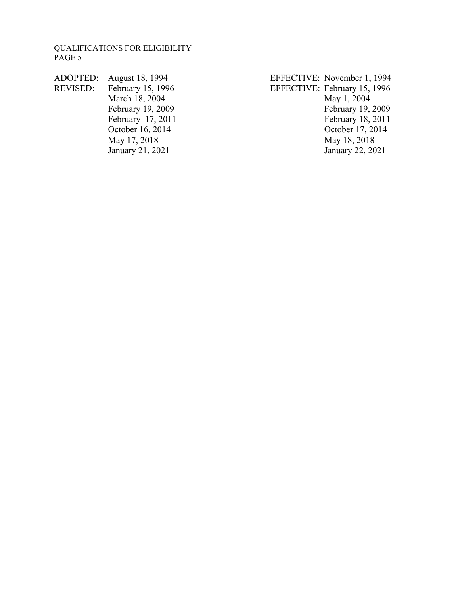- REVISED: February 15, 1996<br>
March 18, 2004<br>
May 1, 2004<br>
May 1, 2004 October 16, 2014 January 21, 2021
- ADOPTED: August 18, 1994<br>
REVISED: February 15, 1996<br>
EFFECTIVE: February 15, 1996<br>
EFFECTIVE: February 15, 1996 March 18, 2004<br>
February 19, 2009<br>
February 19, 2009<br>
February 19, 2009 February 19, 2009<br>February 17, 2011<br>February 18, 2011<br>February 18, 2011 February 17, 2011<br>
October 16, 2014<br>
October 17, 2014<br>
October 17, 2014 May 17, 2018<br>
January 21, 2021<br>
May 18, 2018<br>
January 22, 2021<br>
January 22, 2021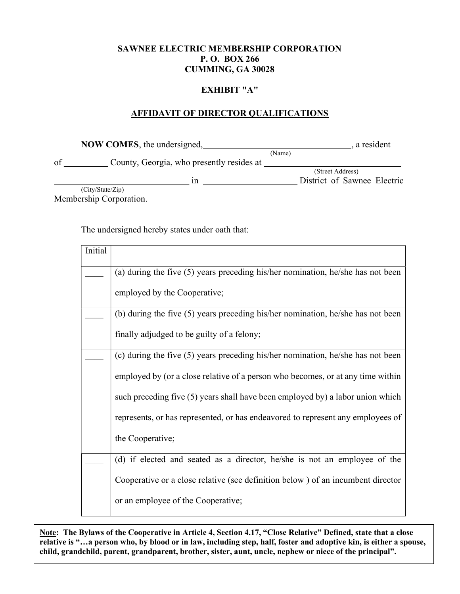### SAWNEE ELECTRIC MEMBERSHIP CORPORATION P. O. BOX 266 CUMMING, GA 30028

#### EXHIBIT "A"

# AFFIDAVIT OF DIRECTOR QUALIFICATIONS

|    | <b>NOW COMES</b> , the undersigned,       |        | , a resident                |
|----|-------------------------------------------|--------|-----------------------------|
| of | County, Georgia, who presently resides at | (Name) |                             |
|    |                                           |        | (Street Address)            |
|    | 1n                                        |        | District of Sawnee Electric |
|    | (City/State/Zip)                          |        |                             |

Membership Corporation.

The undersigned hereby states under oath that:

| Initial |                                                                                   |
|---------|-----------------------------------------------------------------------------------|
|         | (a) during the five $(5)$ years preceding his/her nomination, he/she has not been |
|         | employed by the Cooperative;                                                      |
|         | (b) during the five $(5)$ years preceding his/her nomination, he/she has not been |
|         | finally adjudged to be guilty of a felony;                                        |
|         | (c) during the five (5) years preceding his/her nomination, he/she has not been   |
|         | employed by (or a close relative of a person who becomes, or at any time within   |
|         | such preceding five (5) years shall have been employed by) a labor union which    |
|         | represents, or has represented, or has endeavored to represent any employees of   |
|         | the Cooperative;                                                                  |
|         | (d) if elected and seated as a director, he/she is not an employee of the         |
|         | Cooperative or a close relative (see definition below) of an incumbent director   |
|         | or an employee of the Cooperative;                                                |

Note: The Bylaws of the Cooperative in Article 4, Section 4.17, "Close Relative" Defined, state that a close relative is "…a person who, by blood or in law, including step, half, foster and adoptive kin, is either a spouse, child, grandchild, parent, grandparent, brother, sister, aunt, uncle, nephew or niece of the principal".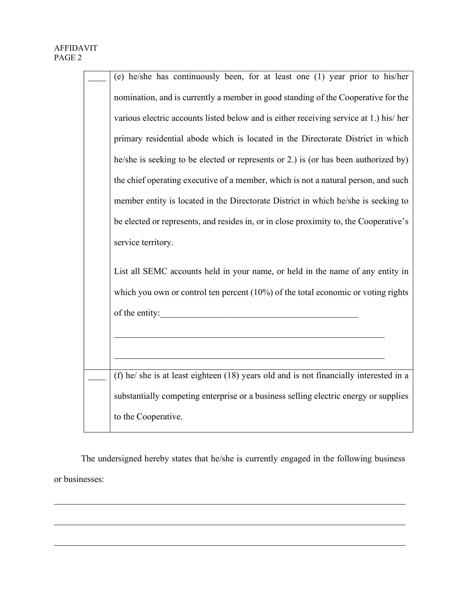$\overline{a}$ 

 $\overline{\phantom{a}}$ 

| (e) he/she has continuously been, for at least one (1) year prior to his/her           |  |  |
|----------------------------------------------------------------------------------------|--|--|
| nomination, and is currently a member in good standing of the Cooperative for the      |  |  |
| various electric accounts listed below and is either receiving service at 1.) his/her  |  |  |
| primary residential abode which is located in the Directorate District in which        |  |  |
| he/she is seeking to be elected or represents or 2.) is (or has been authorized by)    |  |  |
| the chief operating executive of a member, which is not a natural person, and such     |  |  |
| member entity is located in the Directorate District in which he/she is seeking to     |  |  |
| be elected or represents, and resides in, or in close proximity to, the Cooperative's  |  |  |
| service territory.                                                                     |  |  |
| List all SEMC accounts held in your name, or held in the name of any entity in         |  |  |
| which you own or control ten percent $(10%)$ of the total economic or voting rights    |  |  |
| of the entity:                                                                         |  |  |
|                                                                                        |  |  |
|                                                                                        |  |  |
| (f) he/ she is at least eighteen (18) years old and is not financially interested in a |  |  |
| substantially competing enterprise or a business selling electric energy or supplies   |  |  |
| to the Cooperative.                                                                    |  |  |

The undersigned hereby states that he/she is currently engaged in the following business or businesses: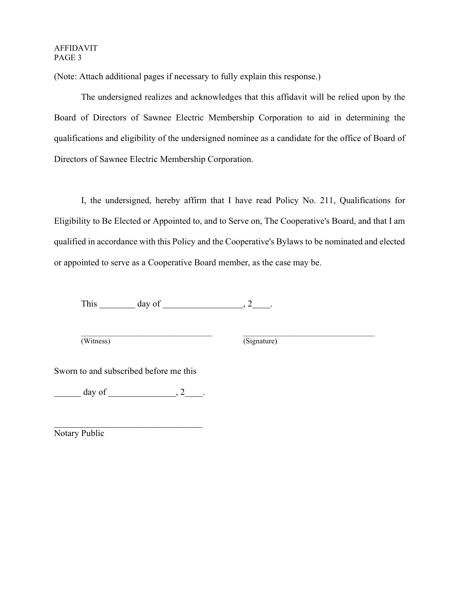#### AFFIDAVIT PAGE 3

(Note: Attach additional pages if necessary to fully explain this response.)

The undersigned realizes and acknowledges that this affidavit will be relied upon by the Board of Directors of Sawnee Electric Membership Corporation to aid in determining the qualifications and eligibility of the undersigned nominee as a candidate for the office of Board of Directors of Sawnee Electric Membership Corporation.

I, the undersigned, hereby affirm that I have read Policy No. 211, Qualifications for Eligibility to Be Elected or Appointed to, and to Serve on, The Cooperative's Board, and that I am qualified in accordance with this Policy and the Cooperative's Bylaws to be nominated and elected or appointed to serve as a Cooperative Board member, as the case may be.

This  $\_\_\_\_\_\_\$  day of  $\_\_\_\_\_\_\_\_\_\_\$ 

 $\mathcal{L}_\text{max} = \mathcal{L}_\text{max} = \mathcal{L}_\text{max} = \mathcal{L}_\text{max} = \mathcal{L}_\text{max} = \mathcal{L}_\text{max} = \mathcal{L}_\text{max} = \mathcal{L}_\text{max} = \mathcal{L}_\text{max} = \mathcal{L}_\text{max} = \mathcal{L}_\text{max} = \mathcal{L}_\text{max} = \mathcal{L}_\text{max} = \mathcal{L}_\text{max} = \mathcal{L}_\text{max} = \mathcal{L}_\text{max} = \mathcal{L}_\text{max} = \mathcal{L}_\text{max} = \mathcal{$ (Witness) (Signature)

Sworn to and subscribed before me this

 $\text{day of}$   $\qquad \qquad , 2$ 

Notary Public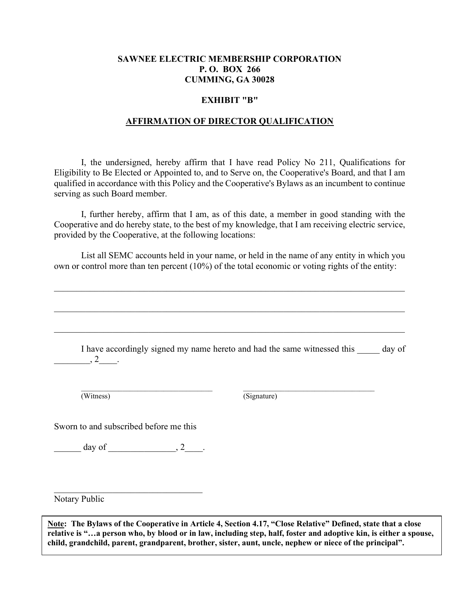### SAWNEE ELECTRIC MEMBERSHIP CORPORATION P. O. BOX 266 CUMMING, GA 30028

### EXHIBIT "B"

### AFFIRMATION OF DIRECTOR QUALIFICATION

I, the undersigned, hereby affirm that I have read Policy No 211, Qualifications for Eligibility to Be Elected or Appointed to, and to Serve on, the Cooperative's Board, and that I am qualified in accordance with this Policy and the Cooperative's Bylaws as an incumbent to continue serving as such Board member.

 I, further hereby, affirm that I am, as of this date, a member in good standing with the Cooperative and do hereby state, to the best of my knowledge, that I am receiving electric service, provided by the Cooperative, at the following locations:

List all SEMC accounts held in your name, or held in the name of any entity in which you own or control more than ten percent (10%) of the total economic or voting rights of the entity:

I have accordingly signed my name hereto and had the same witnessed this day of  $, 2$  .

 $\mathcal{L}_\text{max}$ 

 $\mathcal{L}_\mathcal{L} = \mathcal{L}_\mathcal{L} = \mathcal{L}_\mathcal{L} = \mathcal{L}_\mathcal{L} = \mathcal{L}_\mathcal{L} = \mathcal{L}_\mathcal{L} = \mathcal{L}_\mathcal{L} = \mathcal{L}_\mathcal{L} = \mathcal{L}_\mathcal{L} = \mathcal{L}_\mathcal{L} = \mathcal{L}_\mathcal{L} = \mathcal{L}_\mathcal{L} = \mathcal{L}_\mathcal{L} = \mathcal{L}_\mathcal{L} = \mathcal{L}_\mathcal{L} = \mathcal{L}_\mathcal{L} = \mathcal{L}_\mathcal{L}$ 

(Witness) (Signature)

Sworn to and subscribed before me this

 $\frac{1}{2}$  day of  $\frac{1}{2}$ , 2

Notary Public

Note: The Bylaws of the Cooperative in Article 4, Section 4.17, "Close Relative" Defined, state that a close relative is "…a person who, by blood or in law, including step, half, foster and adoptive kin, is either a spouse, child, grandchild, parent, grandparent, brother, sister, aunt, uncle, nephew or niece of the principal".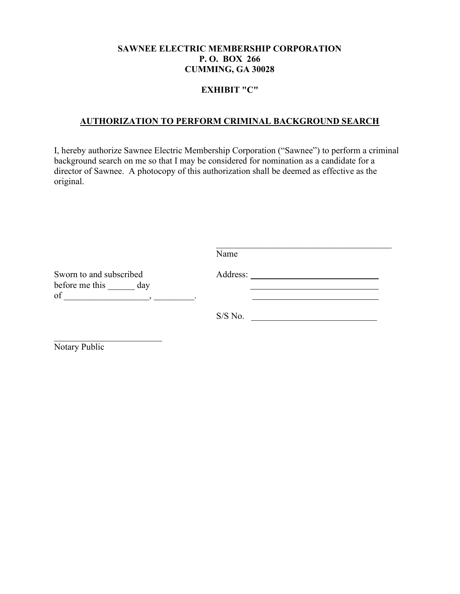### SAWNEE ELECTRIC MEMBERSHIP CORPORATION P. O. BOX 266 CUMMING, GA 30028

### EXHIBIT "C"

# AUTHORIZATION TO PERFORM CRIMINAL BACKGROUND SEARCH

I, hereby authorize Sawnee Electric Membership Corporation ("Sawnee") to perform a criminal background search on me so that I may be considered for nomination as a candidate for a director of Sawnee. A photocopy of this authorization shall be deemed as effective as the original.

|                                                     | Name      |
|-----------------------------------------------------|-----------|
| Sworn to and subscribed<br>before me this day<br>of | Address:  |
|                                                     | $S/S$ No. |

Notary Public